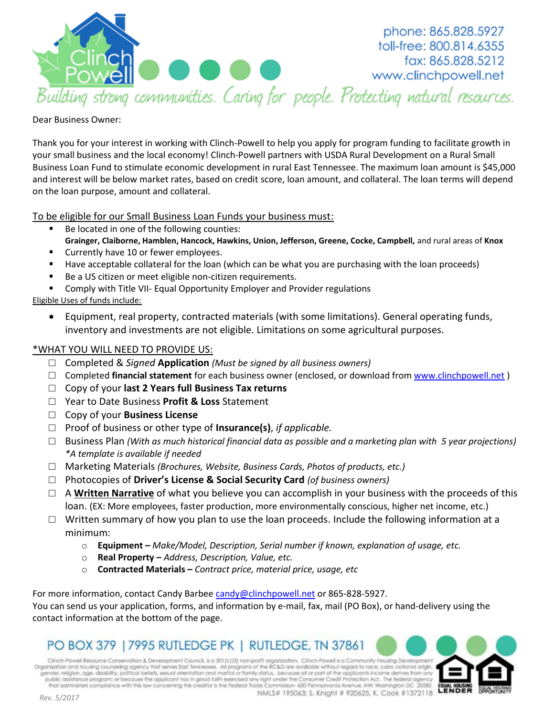

phone: 865.828.5927 toll-free: 800.814.6355 fax: 865.828.5212 www.clinchpowell.net

#### Dear Business Owner:

Thank you for your interest in working with Clinch-Powell to help you apply for program funding to facilitate growth in your small business and the local economy! Clinch-Powell partners with USDA Rural Development on a Rural Small Business Loan Fund to stimulate economic development in rural East Tennessee. The maximum loan amount is \$45,000 and interest will be below market rates, based on credit score, loan amount, and collateral. The loan terms will depend on the loan purpose, amount and collateral.

To be eligible for our Small Business Loan Funds your business must:

- Be located in one of the following counties: **Grainger, Claiborne, Hamblen, Hancock, Hawkins, Union, Jefferson, Greene, Cocke, Campbell,** and rural areas of **Knox**
- **Currently have 10 or fewer employees.**
- Have acceptable collateral for the loan (which can be what you are purchasing with the loan proceeds)
- Be a US citizen or meet eligible non-citizen requirements.
- **EXP** Comply with Title VII- Equal Opportunity Employer and Provider regulations

Eligible Uses of funds include:

 Equipment, real property, contracted materials (with some limitations). General operating funds, inventory and investments are not eligible. Limitations on some agricultural purposes.

### \*WHAT YOU WILL NEED TO PROVIDE US:

- □ Completed & *Signed* **Application** *(Must be signed by all business owners)*
- □ Completed **financial statement** for each business owner (enclosed, or download fro[m www.clinchpowell.net](http://www.clinchpowell.net/) )
- □ Copy of your **last 2 Years full Business Tax returns**
- □ Year to Date Business **Profit & Loss** Statement
- □ Copy of your **Business License**
- □ Proof of business or other type of **Insurance(s)**, *if applicable.*
- □ Business Plan *(With as much historical financial data as possible and a marketing plan with 5 year projections) \*A template is available if needed*
- □ Marketing Materials *(Brochures, Website, Business Cards, Photos of products, etc.)*
- □ Photocopies of **Driver's License & Social Security Card** *(of business owners)*
- □ A **Written Narrative** of what you believe you can accomplish in your business with the proceeds of this loan. (EX: More employees, faster production, more environmentally conscious, higher net income, etc.)
- $\Box$  Written summary of how you plan to use the loan proceeds. Include the following information at a minimum:
	- o **Equipment –** *Make/Model, Description, Serial number if known, explanation of usage, etc.*
	- o **Real Property –** *Address, Description, Value, etc.*
	- o **Contracted Materials –** *Contract price, material price, usage, etc*

For more information, contact Candy Barbee [candy@clinchpowell.net](mailto:candy@clinchpowell.net) or 865-828-5927. You can send us your application, forms, and information by e-mail, fax, mail (PO Box), or hand-delivery using the contact information at the bottom of the page.

## PO BOX 379 | 7995 RUTLEDGE PK | RUTLEDGE, TN 37861

Clinch-Powell Resource Conservation & Development Council, is a 501(c)(3) non-profit organization. Clinch-Powell is a Community Housing Developmen Organization and housing counseling agency that serves East Tennessee. All programs of the RC&D are available without regard to race, color, national origin, gender, religion, age, disability, political beliefs, sexual orientation and marital or family status, because all or part of the applicants income derives from any public assistance program; or because the applicant has in good faith exercised any right under the Consumer Credit Protection Act. The federal agency<br>that administers compliance with this law concerning this creditor is t

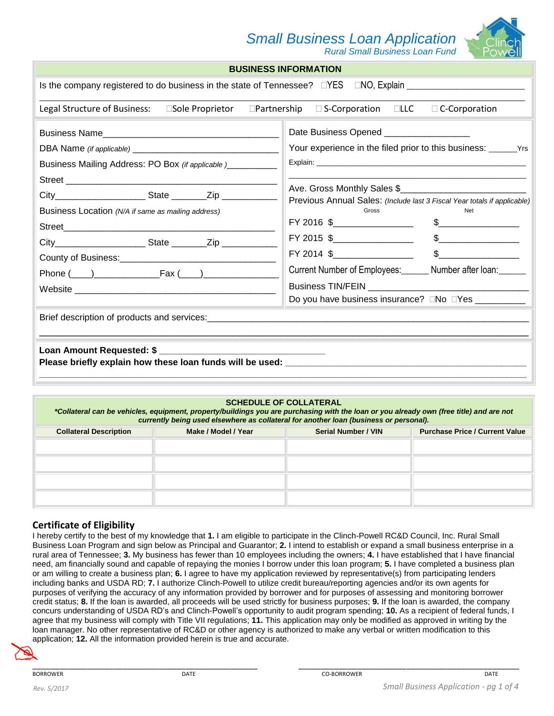## *Small Business Loan Application Rural Small Business Loan Fund*



**BUSINESS INFORMATION**

|                                                                                                                 | BUSINESS INFURMATION                                                                                                                                                                                                                                                                                                                                                                                                                                                                                                                                                                                                                                                                                                   |  |  |  |  |
|-----------------------------------------------------------------------------------------------------------------|------------------------------------------------------------------------------------------------------------------------------------------------------------------------------------------------------------------------------------------------------------------------------------------------------------------------------------------------------------------------------------------------------------------------------------------------------------------------------------------------------------------------------------------------------------------------------------------------------------------------------------------------------------------------------------------------------------------------|--|--|--|--|
| Is the company registered to do business in the state of Tennessee? □YES □NO, Explain □                         |                                                                                                                                                                                                                                                                                                                                                                                                                                                                                                                                                                                                                                                                                                                        |  |  |  |  |
| Legal Structure of Business: Cole Proprietor CPartnership C S-Corporation CLLC C Corporation                    |                                                                                                                                                                                                                                                                                                                                                                                                                                                                                                                                                                                                                                                                                                                        |  |  |  |  |
| Business Mailing Address: PO Box (if applicable )________<br>Business Location (N/A if same as mailing address) | Date Business Opened __________________<br>Ave. Gross Monthly Sales \$<br>Previous Annual Sales: (Include last 3 Fiscal Year totals if applicable)<br>Gross<br>Net<br>$FY 2016$ \$____________________<br>$\frac{1}{2}$<br>$\mathsf{S} \hspace{0.03in} \underbrace{\hspace{0.03in}}$<br>$FY$ 2015 $\frac{6}{2}$ 2015 $\frac{1}{2}$ $\frac{1}{2}$ $\frac{1}{2}$ $\frac{1}{2}$ $\frac{1}{2}$ $\frac{1}{2}$ $\frac{1}{2}$ $\frac{1}{2}$ $\frac{1}{2}$ $\frac{1}{2}$ $\frac{1}{2}$ $\frac{1}{2}$ $\frac{1}{2}$ $\frac{1}{2}$ $\frac{1}{2}$ $\frac{1}{2}$ $\frac{1}{2}$ $\frac{1}{2}$ $\frac{1}{2}$ $\frac{1}{2$<br>Current Number of Employees: Number after loan:<br>Do you have business insurance? □No □Yes ___________ |  |  |  |  |
|                                                                                                                 |                                                                                                                                                                                                                                                                                                                                                                                                                                                                                                                                                                                                                                                                                                                        |  |  |  |  |
|                                                                                                                 |                                                                                                                                                                                                                                                                                                                                                                                                                                                                                                                                                                                                                                                                                                                        |  |  |  |  |

#### **SCHEDULE OF COLLATERAL**

*\*Collateral can be vehicles, equipment, property/buildings you are purchasing with the loan or you already own (free title) and are not currently being used elsewhere as collateral for another loan (business or personal).* 

| <b>Collateral Description</b> | Make / Model / Year | <b>Serial Number / VIN</b> | <b>Purchase Price / Current Value</b> |
|-------------------------------|---------------------|----------------------------|---------------------------------------|
|                               |                     |                            |                                       |
|                               |                     |                            |                                       |
|                               |                     |                            |                                       |
|                               |                     |                            |                                       |
|                               |                     |                            |                                       |

#### **Certificate of Eligibility**

I hereby certify to the best of my knowledge that **1.** I am eligible to participate in the Clinch-Powell RC&D Council, Inc. Rural Small Business Loan Program and sign below as Principal and Guarantor; **2.** I intend to establish or expand a small business enterprise in a rural area of Tennessee; **3.** My business has fewer than 10 employees including the owners; **4.** I have established that I have financial need, am financially sound and capable of repaying the monies I borrow under this loan program; **5.** I have completed a business plan or am willing to create a business plan; **6.** I agree to have my application reviewed by representative(s) from participating lenders including banks and USDA RD; **7.** I authorize Clinch-Powell to utilize credit bureau/reporting agencies and/or its own agents for purposes of verifying the accuracy of any information provided by borrower and for purposes of assessing and monitoring borrower credit status; **8.** If the loan is awarded, all proceeds will be used strictly for business purposes; **9.** If the loan is awarded, the company concurs understanding of USDA RD's and Clinch-Powell's opportunity to audit program spending; **10.** As a recipient of federal funds, I agree that my business will comply with Title VII regulations; **11.** This application may only be modified as approved in writing by the loan manager. No other representative of RC&D or other agency is authorized to make any verbal or written modification to this application; **12.** All the information provided herein is true and accurate.

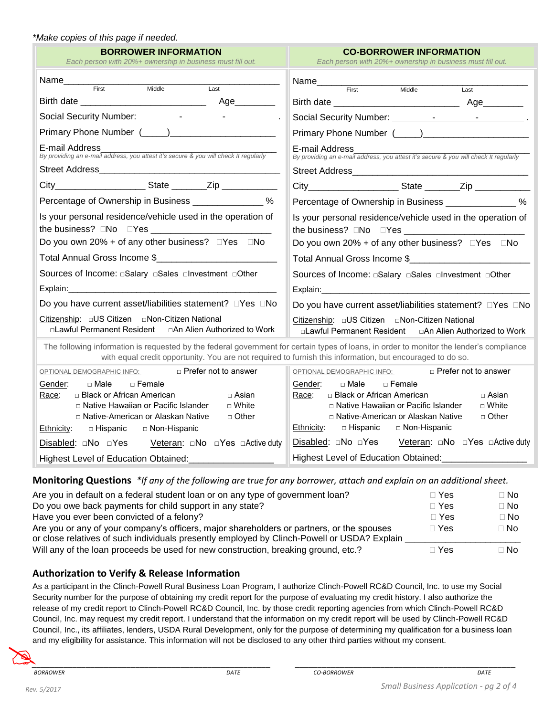#### *\*Make copies of this page if needed.*

| <b>BORROWER INFORMATION</b><br>Each person with 20%+ ownership in business must fill out.                                                                                                                                                                | <b>CO-BORROWER INFORMATION</b><br>Each person with 20%+ ownership in business must fill out.                                                                                                                                                            |  |  |  |
|----------------------------------------------------------------------------------------------------------------------------------------------------------------------------------------------------------------------------------------------------------|---------------------------------------------------------------------------------------------------------------------------------------------------------------------------------------------------------------------------------------------------------|--|--|--|
| Name____________<br><u> Listen de Carlos de Carlos de Carlos de Carlos de Carlos de Carlos de Carlos de Carlos de Carlos de Carlos de </u><br>Middle<br>Last                                                                                             | Name <sub>First</sub>                                                                                                                                                                                                                                   |  |  |  |
| First                                                                                                                                                                                                                                                    | Middle<br>Last                                                                                                                                                                                                                                          |  |  |  |
|                                                                                                                                                                                                                                                          |                                                                                                                                                                                                                                                         |  |  |  |
|                                                                                                                                                                                                                                                          |                                                                                                                                                                                                                                                         |  |  |  |
| E-mail Address<br>By providing an e-mail address, you attest it's secure & you will check It regularly                                                                                                                                                   | E-mail Address<br>By providing an e-mail address, you attest it's secure & you will check It regularly                                                                                                                                                  |  |  |  |
|                                                                                                                                                                                                                                                          |                                                                                                                                                                                                                                                         |  |  |  |
|                                                                                                                                                                                                                                                          |                                                                                                                                                                                                                                                         |  |  |  |
| Percentage of Ownership in Business ________________%                                                                                                                                                                                                    | Percentage of Ownership in Business ________________%                                                                                                                                                                                                   |  |  |  |
| Is your personal residence/vehicle used in the operation of                                                                                                                                                                                              | Is your personal residence/vehicle used in the operation of                                                                                                                                                                                             |  |  |  |
| Do you own 20% + of any other business? $\Box$ Yes $\Box$ No                                                                                                                                                                                             | Do you own 20% + of any other business? $\square Yes \square No$                                                                                                                                                                                        |  |  |  |
|                                                                                                                                                                                                                                                          |                                                                                                                                                                                                                                                         |  |  |  |
|                                                                                                                                                                                                                                                          | Sources of Income: aSalary aSales alnvestment aOther                                                                                                                                                                                                    |  |  |  |
| Explain: 2008 2014 2015 2020 2021 2021 2022 2022 2023 2024 2022 2023 2024 2022 2023 2024 2022 2023 2024 2022 20                                                                                                                                          |                                                                                                                                                                                                                                                         |  |  |  |
| Do you have current asset/liabilities statement? □Yes □No                                                                                                                                                                                                | Do you have current asset/liabilities statement? □Yes □No                                                                                                                                                                                               |  |  |  |
| □Lawful Permanent Resident<br>□ An Alien Authorized to Work                                                                                                                                                                                              | □Lawful Permanent Resident  □An Alien Authorized to Work                                                                                                                                                                                                |  |  |  |
| The following information is requested by the federal government for certain types of loans, in order to monitor the lender's compliance<br>with equal credit opportunity. You are not required to furnish this information, but encouraged to do so.    |                                                                                                                                                                                                                                                         |  |  |  |
| □ Prefer not to answer<br><u>OPTIONAL DEMOGRAPHIC INFO:</u>                                                                                                                                                                                              | □ Prefer not to answer<br>OPTIONAL DEMOGRAPHIC INFO:                                                                                                                                                                                                    |  |  |  |
| Gender:<br>$\square$ Male<br>$\Box$ Female<br>□ Black or African American<br>□ Asian<br>Race:<br>□ Native Hawaiian or Pacific Islander<br>$\sqcap$ White<br>□ Native-American or Alaskan Native<br>□ Other<br>Ethnicity:<br>□ Hispanic<br>□ Non-Hispanic | □ Male<br>$\Box$ Female<br>Gender:<br>□ Black or African American<br>Race:<br>□ Asian<br>□ Native Hawaiian or Pacific Islander<br>$\sqcap$ White<br>□ Native-American or Alaskan Native<br>□ Other<br>□ Hispanic<br><u>Ethnicity:</u><br>□ Non-Hispanic |  |  |  |
| <b>Disabled:</b> □No □Yes Veteran: □No □Yes □Active duty                                                                                                                                                                                                 | <b>Disabled:</b> □No □Yes Veteran: □No □Yes □Active duty                                                                                                                                                                                                |  |  |  |
| Highest Level of Education Obtained:                                                                                                                                                                                                                     | Highest Level of Education Obtained: __________                                                                                                                                                                                                         |  |  |  |

**Monitoring Questions** *\*If any of the following are true for any borrower, attach and explain on an additional sheet.*

| Are you in default on a federal student loan or on any type of government loan?             | ∃ Yes        | $\sqcap$ No |
|---------------------------------------------------------------------------------------------|--------------|-------------|
| Do you owe back payments for child support in any state?                                    | $\sqcap$ Yes | $\Box$ No   |
| Have you ever been convicted of a felony?                                                   | $\Box$ Yes   | $\Box$ No   |
| Are you or any of your company's officers, major shareholders or partners, or the spouses   | $\sqcap$ Yes | $\Box$ No   |
| or close relatives of such individuals presently employed by Clinch-Powell or USDA? Explain |              |             |
| Will any of the loan proceeds be used for new construction, breaking ground, etc.?          | ∏ Yes        | $\Box$ No   |

### **Authorization to Verify & Release Information**

As a participant in the Clinch-Powell Rural Business Loan Program, I authorize Clinch-Powell RC&D Council, Inc. to use my Social Security number for the purpose of obtaining my credit report for the purpose of evaluating my credit history. I also authorize the release of my credit report to Clinch-Powell RC&D Council, Inc. by those credit reporting agencies from which Clinch-Powell RC&D Council, Inc. may request my credit report. I understand that the information on my credit report will be used by Clinch-Powell RC&D Council, Inc., its affiliates, lenders, USDA Rural Development, only for the purpose of determining my qualification for a business loan and my eligibility for assistance. This information will not be disclosed to any other third parties without my consent.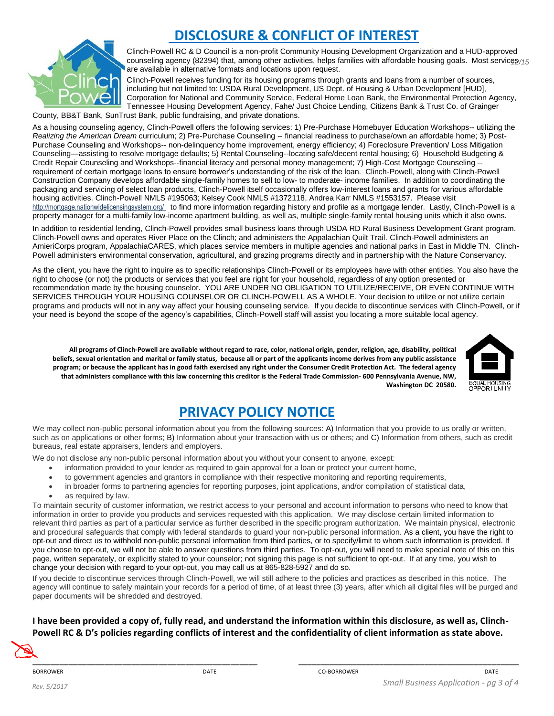

## **DISCLOSURE & CONFLICT OF INTEREST**

Clinch-Powell RC & D Council is a non-profit Community Housing Development Organization and a HUD-approved counseling agency (82394) that, among other activities, helps families with affordable housing goals. Most service<u>s</u> are available in alternative formats and locations upon request.

Clinch-Powell receives funding for its housing programs through grants and loans from a number of sources, including but not limited to: USDA Rural Development, US Dept. of Housing & Urban Development [HUD], Corporation for National and Community Service, Federal Home Loan Bank, the Environmental Protection Agency, Tennessee Housing Development Agency, Fahe/ Just Choice Lending, Citizens Bank & Trust Co. of Grainger

County, BB&T Bank, SunTrust Bank, public fundraising, and private donations.

As a housing counseling agency, Clinch-Powell offers the following services: 1) Pre-Purchase Homebuyer Education Workshops-- utilizing the *Realizing the American Dream* curriculum; 2) Pre-Purchase Counseling -- financial readiness to purchase/own an affordable home; 3) Post-Purchase Counseling and Workshops-- non-delinquency home improvement, energy efficiency; 4) Foreclosure Prevention/ Loss Mitigation Counseling—assisting to resolve mortgage defaults; 5) Rental Counseling--locating safe/decent rental housing; 6) Household Budgeting & Credit Repair Counseling and Workshops--financial literacy and personal money management; 7) High-Cost Mortgage Counseling - requirement of certain mortgage loans to ensure borrower's understanding of the risk of the loan. Clinch-Powell, along with Clinch-Powell Construction Company develops affordable single-family homes to sell to low- to moderate- income families. In addition to coordinating the packaging and servicing of select loan products, Clinch-Powell itself occasionally offers low-interest loans and grants for various affordable housing activities. Clinch-Powell NMLS #195063; Kelsey Cook NMLS #1372118, Andrea Karr NMLS #1553157. Please visit http://mortgage.nationwidelicensingsystem.org/ to find more information regarding history and profile as a mortgage lender. Lastly, Clinch-Powell is a property manager for a multi-family low-income apartment building, as well as, multiple single-family rental housing units which it also owns.

In addition to residential lending, Clinch-Powell provides small business loans through USDA RD Rural Business Development Grant program. Clinch-Powell owns and operates River Place on the Clinch; and administers the Appalachian Quilt Trail. Clinch-Powell administers an AmieriCorps program, AppalachiaCARES, which places service members in multiple agencies and national parks in East in Middle TN. Clinch-Powell administers environmental conservation, agricultural, and grazing programs directly and in partnership with the Nature Conservancy.

As the client, you have the right to inquire as to specific relationships Clinch-Powell or its employees have with other entities. You also have the right to choose (or not) the products or services that you feel are right for your household, regardless of any option presented or recommendation made by the housing counselor. YOU ARE UNDER NO OBLIGATION TO UTILIZE/RECEIVE, OR EVEN CONTINUE WITH SERVICES THROUGH YOUR HOUSING COUNSELOR OR CLINCH-POWELL AS A WHOLE. Your decision to utilize or not utilize certain programs and products will not in any way affect your housing counseling service. If you decide to discontinue services with Clinch-Powell, or if your need is beyond the scope of the agency's capabilities, Clinch-Powell staff will assist you locating a more suitable local agency.

**All programs of Clinch-Powell are available without regard to race, color, national origin, gender, religion, age, disability, political beliefs, sexual orientation and marital or family status, because all or part of the applicants income derives from any public assistance program; or because the applicant has in good faith exercised any right under the Consumer Credit Protection Act. The federal agency that administers compliance with this law concerning this creditor is the Federal Trade Commission- 600 Pennsylvania Avenue, NW, Washington DC 20580.**



# **PRIVACY POLICY NOTICE**

We may collect non-public personal information about you from the following sources: A) Information that you provide to us orally or written, such as on applications or other forms; B) Information about your transaction with us or others; and C) Information from others, such as credit bureaus, real estate appraisers, lenders and employers.

We do not disclose any non-public personal information about you without your consent to anyone, except:

- information provided to your lender as required to gain approval for a loan or protect your current home,
- to government agencies and grantors in compliance with their respective monitoring and reporting requirements,
- in broader forms to partnering agencies for reporting purposes, joint applications, and/or compilation of statistical data,
- as required by law.

To maintain security of customer information, we restrict access to your personal and account information to persons who need to know that information in order to provide you products and services requested with this application. We may disclose certain limited information to relevant third parties as part of a particular service as further described in the specific program authorization. We maintain physical, electronic and procedural safeguards that comply with federal standards to guard your non-public personal information. As a client, you have the right to opt-out and direct us to withhold non-public personal information from third parties, or to specify/limit to whom such information is provided. If you choose to opt-out, we will not be able to answer questions from third parties. To opt-out, you will need to make special note of this on this page, written separately, or explicitly stated to your counselor; not signing this page is not sufficient to opt-out. If at any time, you wish to change your decision with regard to your opt-out, you may call us at 865-828-5927 and do so.

If you decide to discontinue services through Clinch-Powell, we will still adhere to the policies and practices as described in this notice. The agency will continue to safely maintain your records for a period of time, of at least three (3) years, after which all digital files will be purged and paper documents will be shredded and destroyed.

**I have been provided a copy of, fully read, and understand the information within this disclosure, as well as, Clinch-Powell RC & D's policies regarding conflicts of interest and the confidentiality of client information as state above.**